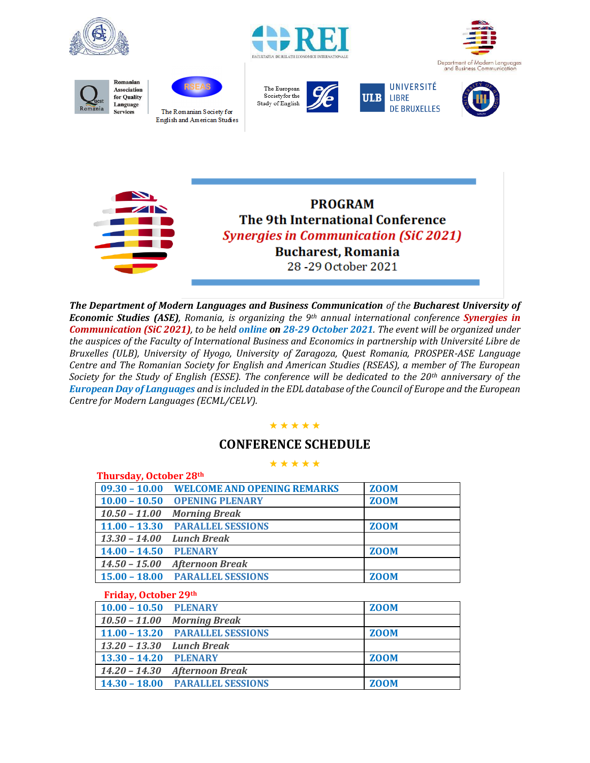





















*The Department of Modern Languages and Business Communication of the Bucharest University of Economic Studies (ASE), Romania, is organizing the 9th annual international conference Synergies in Communication (SiC 2021), to be held online on 28-29 October 2021. The event will be organized under the auspices of the Faculty of International Business and Economics in partnership with Université Libre de Bruxelles (ULB), University of Hyogo, University of Zaragoza, Quest Romania, PROSPER-ASE Language Centre and The Romanian Society for English and American Studies (RSEAS), a member of The European Society for the Study of English (ESSE). The conference will be dedicated to the 20th anniversary of the European Day of Languages and is included in the EDL database of the Council of Europe and the European Centre for Modern Languages (ECML/CELV).*

#### ★ ★ ★ ★ ★

### **CONFERENCE SCHEDULE**

#### ★ ★ ★ ★ ★

| Thursday, October 28th |                                           |             |
|------------------------|-------------------------------------------|-------------|
|                        | 09.30 - 10.00 WELCOME AND OPENING REMARKS | <b>ZOOM</b> |
|                        | 10.00 - 10.50 OPENING PLENARY             | <b>ZOOM</b> |
| $10.50 - 11.00$        | <b>Morning Break</b>                      |             |
|                        | 11.00 - 13.30 PARALLEL SESSIONS           | <b>ZOOM</b> |
| $13.30 - 14.00$        | <b>Lunch Break</b>                        |             |
| $14.00 - 14.50$        | <b>PLENARY</b>                            | <b>ZOOM</b> |
| $14.50 - 15.00$        | <b>Afternoon Break</b>                    |             |
|                        | 15.00 - 18.00 PARALLEL SESSIONS           | <b>ZOOM</b> |
|                        |                                           |             |

#### **Friday, October 29th**

| . .                       |                                 |             |
|---------------------------|---------------------------------|-------------|
| 10.00 - 10.50 PLENARY     |                                 | <b>ZOOM</b> |
|                           | 10.50 - 11.00 Morning Break     |             |
|                           | 11.00 - 13.20 PARALLEL SESSIONS | <b>ZOOM</b> |
| 13.20 - 13.30 Lunch Break |                                 |             |
| 13.30 - 14.20 PLENARY     |                                 | <b>ZOOM</b> |
|                           | 14.20 - 14.30 Afternoon Break   |             |
|                           | 14.30 - 18.00 PARALLEL SESSIONS | <b>ZOOM</b> |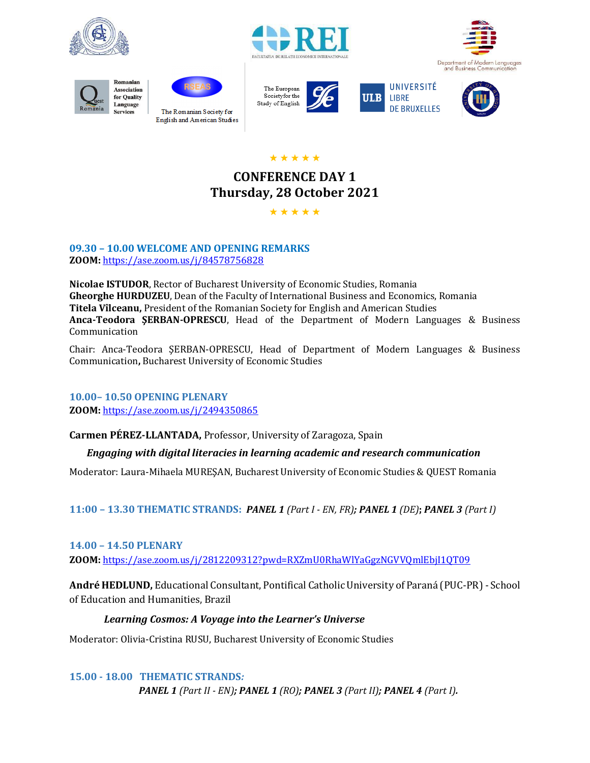













★ ★ ★ ★ ★

# **CONFERENCE DAY 1 Thursday, 28 October 2021**

★ ★ ★ ★ ★

**09.30 – 10.00 WELCOME AND OPENING REMARKS ZOOM:** [https://ase.zoom.us/j/84578756828](https://www.google.com/url?q=https://ase.zoom.us/j/84578756828&sa=D&source=calendar&ust=1635521626094989&usg=AOvVaw02h3EWyf274qcz0s2vDRfo)

**Nicolae ISTUDOR**, Rector of Bucharest University of Economic Studies, Romania **Gheorghe HURDUZEU**, Dean of the Faculty of International Business and Economics, Romania **Titela Vîlceanu,** President of the Romanian Society for English and American Studies **Anca-Teodora ŞERBAN-OPRESCU**, Head of the Department of Modern Languages & Business Communication

Chair: Anca-Teodora ŞERBAN-OPRESCU, Head of Department of Modern Languages & Business Communication**,** Bucharest University of Economic Studies

**10.00– 10.50 OPENING PLENARY ZOOM:** <https://ase.zoom.us/j/2494350865>

**Carmen PÉREZ-LLANTADA,** Professor, University of Zaragoza, Spain

### *Engaging with digital literacies in learning academic and research communication*

Moderator: Laura-Mihaela MUREŞAN, Bucharest University of Economic Studies & QUEST Romania

**11:00 – 13.30 THEMATIC STRANDS:** *PANEL 1 (Part I - EN, FR); PANEL 1 (DE)***;** *PANEL 3 (Part I)*

### **14.00 – 14.50 PLENARY**

**ZOOM:** <https://ase.zoom.us/j/2812209312?pwd=RXZmU0RhaWlYaGgzNGVVQmlEbjI1QT09>

**André HEDLUND,** Educational Consultant, Pontifical Catholic University of Paraná (PUC-PR) - School of Education and Humanities, Brazil

### *Learning Cosmos: A Voyage into the Learner's Universe*

Moderator: Olivia-Cristina RUSU, Bucharest University of Economic Studies

**15.00 - 18.00****THEMATIC STRANDS***:* 

*PANEL 1 (Part II - EN); PANEL 1 (RO); PANEL 3 (Part II); PANEL 4 (Part I).*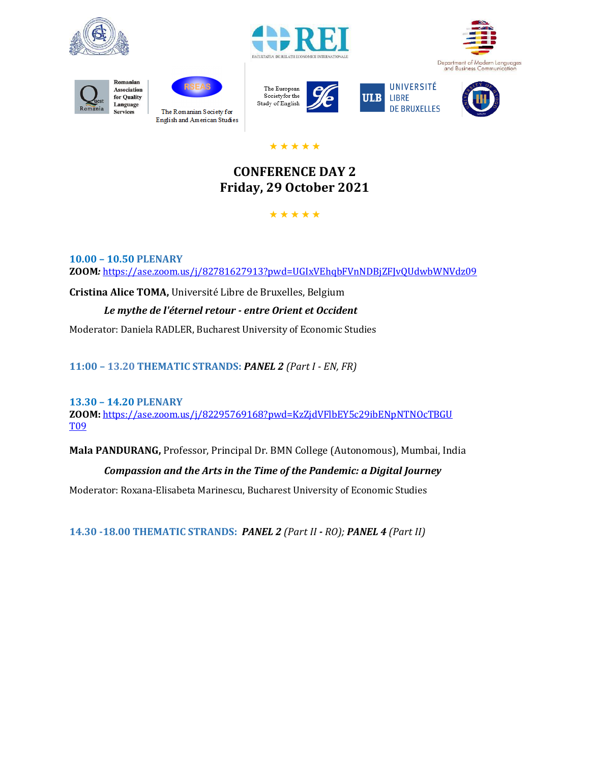















### ★ ★ ★ ★ ★

# **CONFERENCE DAY 2 Friday, 29 October 2021**

### ★ ★ ★ ★ ★

**10.00 – 10.50 PLENARY ZOOM***:* <https://ase.zoom.us/j/82781627913?pwd=UGIxVEhqbFVnNDBjZFJvQUdwbWNVdz09>

**Cristina Alice TOMA,** Université Libre de Bruxelles, Belgium

### *Le mythe de l'éternel retour - entre Orient et Occident*

Moderator: Daniela RADLER, Bucharest University of Economic Studies

**11:00 – 13.20 THEMATIC STRANDS:** *PANEL 2 (Part I - EN, FR)*

#### **13.30 – 14.20 PLENARY ZOOM:** <https://ase.zoom.us/j/82295769168?pwd=KzZjdVFlbEY5c29ibENpNTNOcTBGU> [T09](https://ase.zoom.us/j/82295769168?pwd=KzZjdVFlbEY5c29ibENpNTNOcTBGU)

**Mala PANDURANG,** Professor, Principal Dr. BMN College (Autonomous), Mumbai, India

## *Compassion and the Arts in the Time of the Pandemic: a Digital Journey*

Moderator: Roxana-Elisabeta Marinescu, Bucharest University of Economic Studies

**14.30 -18.00 THEMATIC STRANDS:** *PANEL 2 (Part II - RO); PANEL 4 (Part II)*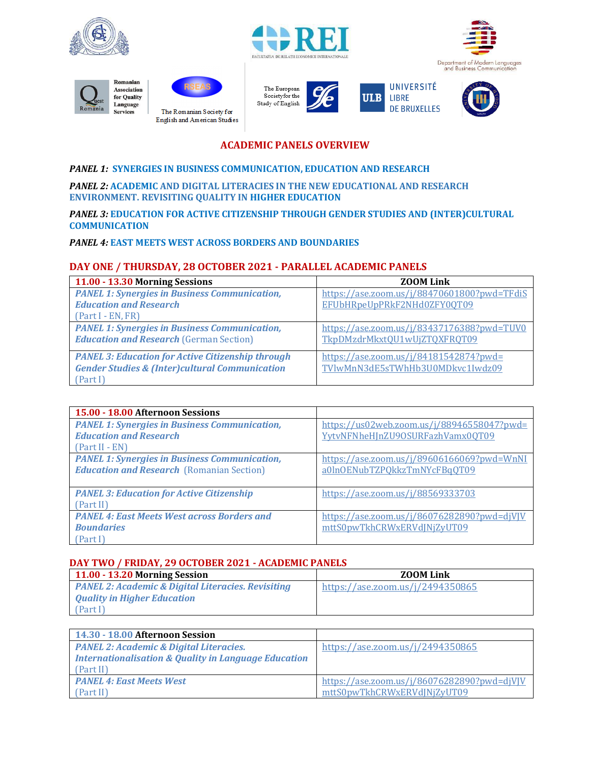



















**ACADEMIC PANELS OVERVIEW**

#### *PANEL 1:* **SYNERGIES IN BUSINESS COMMUNICATION, EDUCATION AND RESEARCH**

*PANEL 2:* **ACADEMIC AND DIGITAL LITERACIES IN THE NEW EDUCATIONAL AND RESEARCH ENVIRONMENT. REVISITING QUALITY IN HIGHER EDUCATION**

*PANEL 3:* **EDUCATION FOR ACTIVE CITIZENSHIP THROUGH GENDER STUDIES AND (INTER)CULTURAL COMMUNICATION**

#### *PANEL 4:* **EAST MEETS WEST ACROSS BORDERS AND BOUNDARIES**

#### **DAY ONE / THURSDAY, 28 OCTOBER 2021 - PARALLEL ACADEMIC PANELS**

| 11.00 - 13.30 Morning Sessions                            | <b>ZOOM Link</b>                            |
|-----------------------------------------------------------|---------------------------------------------|
| <b>PANEL 1: Synergies in Business Communication,</b>      | https://ase.zoom.us/j/88470601800?pwd=TFdiS |
| <b>Education and Research</b>                             | EFUbHRpeUpPRkF2NHd0ZFY00T09                 |
| $(Part I - EN, FR)$                                       |                                             |
| <b>PANEL 1: Synergies in Business Communication,</b>      | https://ase.zoom.us/j/83437176388?pwd=TUV0  |
| <b>Education and Research (German Section)</b>            | TkpDMzdrMkxtQU1wUjZTQXFRQT09                |
| <b>PANEL 3: Education for Active Citizenship through</b>  | https://ase.zoom.us/j/84181542874?pwd=      |
| <b>Gender Studies &amp; (Inter)cultural Communication</b> | TVlwMnN3dE5sTWhHb3U0MDkvc1Iwdz09            |
| (Part I)                                                  |                                             |

| 15.00 - 18.00 Afternoon Sessions                     |                                             |
|------------------------------------------------------|---------------------------------------------|
| <b>PANEL 1: Synergies in Business Communication,</b> | https://us02web.zoom.us/j/88946558047?pwd=  |
| <b>Education and Research</b>                        | YvtvNFNheHInZU90SURFazhVamx00T09            |
| (Part II - EN)                                       |                                             |
| <b>PANEL 1: Synergies in Business Communication,</b> | https://ase.zoom.us/j/89606166069?pwd=WnNI  |
| <b>Education and Research (Romanian Section)</b>     | a0ln0ENubTZPQkkzTmNYcFBqQT09                |
|                                                      |                                             |
| <b>PANEL 3: Education for Active Citizenship</b>     | https://ase.zoom.us/j/88569333703           |
| (Part II)                                            |                                             |
| <b>PANEL 4: East Meets West across Borders and</b>   | https://ase.zoom.us/j/86076282890?pwd=djVIV |
| <b>Boundaries</b>                                    | mttS0pwTkhCRWxERVdINiZyUT09                 |
| (Part I)                                             |                                             |

#### **DAY TWO / FRIDAY, 29 OCTOBER 2021 - ACADEMIC PANELS**

| $11.00 - 13.20$ Morning Session                               | <b>ZOOM Link</b>                 |
|---------------------------------------------------------------|----------------------------------|
| <b>PANEL 2: Academic &amp; Digital Literacies. Revisiting</b> | https://ase.zoom.us/j/2494350865 |
| <b>Quality in Higher Education</b>                            |                                  |
| [Part I]                                                      |                                  |

| 14.30 - 18.00 Afternoon Session                                 |                                             |
|-----------------------------------------------------------------|---------------------------------------------|
| <b>PANEL 2: Academic &amp; Digital Literacies.</b>              | https://ase.zoom.us/j/2494350865            |
| <b>Internationalisation &amp; Quality in Language Education</b> |                                             |
| (Part II)                                                       |                                             |
| <b>PANEL 4: East Meets West</b>                                 | https://ase.zoom.us/j/86076282890?pwd=djVJV |
| (Part II)                                                       | mttS0pwTkhCRWxERVdINiZvUT09                 |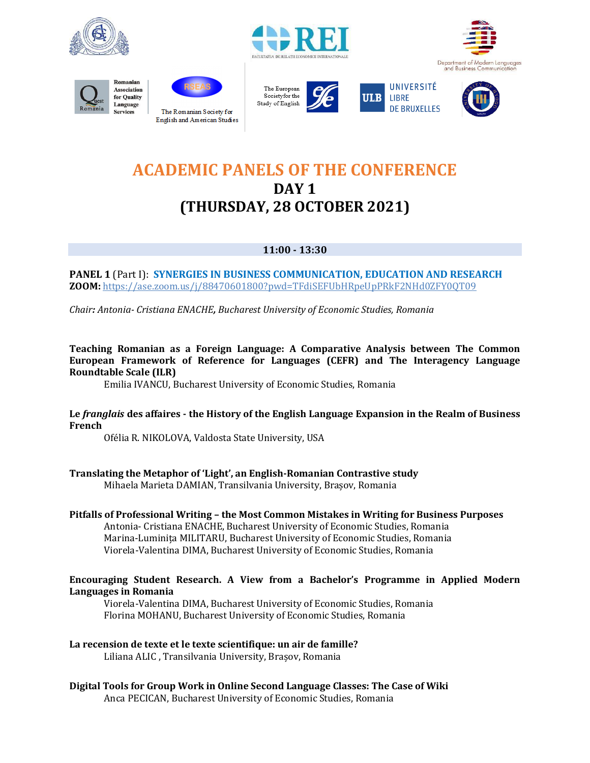









The European Societyfor the Study of English







# **ACADEMIC PANELS OF THE CONFERENCE DAY 1 (THURSDAY, 28 OCTOBER 2021)**

### **11:00 - 13:30**

**PANEL 1** (Part I): **SYNERGIES IN BUSINESS COMMUNICATION, EDUCATION AND RESEARCH ZOOM:** <https://ase.zoom.us/j/88470601800?pwd=TFdiSEFUbHRpeUpPRkF2NHd0ZFY0QT09>

*Chair: Antonia- Cristiana ENACHE, Bucharest University of Economic Studies, Romania*

**Teaching Romanian as a Foreign Language: A Comparative Analysis between The Common European Framework of Reference for Languages (CEFR) and The Interagency Language Roundtable Scale (ILR)**

Emilia IVANCU, Bucharest University of Economic Studies, Romania

#### **Le** *franglais* **des affaires - the History of the English Language Expansion in the Realm of Business French**

Ofélia R. NIKOLOVA, Valdosta State University, USA

**Translating the Metaphor of 'Light', an English-Romanian Contrastive study** Mihaela Marieta DAMIAN, Transilvania University, Brașov, Romania

# **Pitfalls of Professional Writing – the Most Common Mistakes in Writing for Business Purposes**

Antonia- Cristiana ENACHE, Bucharest University of Economic Studies, Romania Marina-Luminița MILITARU, Bucharest University of Economic Studies, Romania Viorela-Valentina DIMA, Bucharest University of Economic Studies, Romania

#### **Encouraging Student Research. A View from a Bachelor's Programme in Applied Modern Languages in Romania**

Viorela-Valentina DIMA, Bucharest University of Economic Studies, Romania Florina MOHANU, Bucharest University of Economic Studies, Romania

### **La recension de texte et le texte scientifique: un air de famille?**

Liliana ALIC , Transilvania University, Brașov, Romania

#### **Digital Tools for Group Work in Online Second Language Classes: The Case of Wiki** Anca PECICAN, Bucharest University of Economic Studies, Romania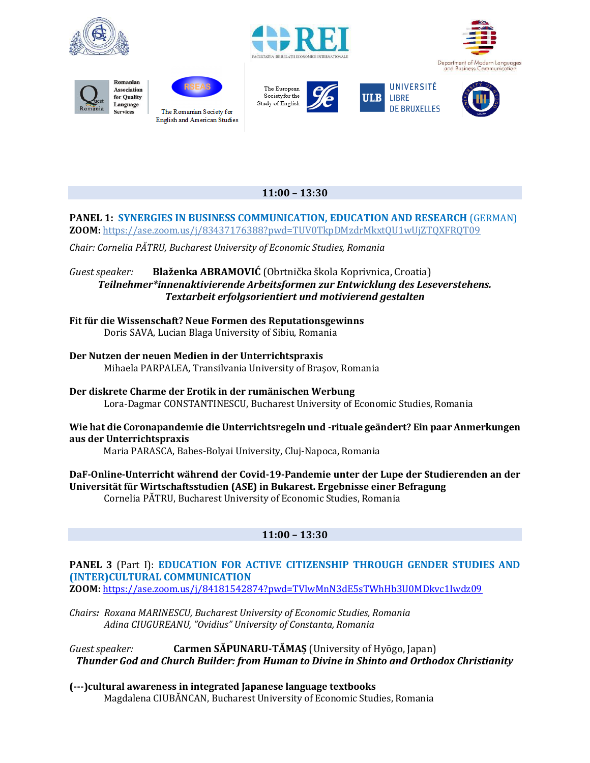

















### **11:00 – 13:30**

#### **PANEL 1: SYNERGIES IN BUSINESS COMMUNICATION, EDUCATION AND RESEARCH** (GERMAN) **ZOOM:** <https://ase.zoom.us/j/83437176388?pwd=TUV0TkpDMzdrMkxtQU1wUjZTQXFRQT09>

*Chair: Cornelia PĂTRU, Bucharest University of Economic Studies, Romania*

*Guest speaker:* **Blaženka ABRAMOVIĆ** (Obrtnička škola Koprivnica, Croatia) *Teilnehmer\*innenaktivierende Arbeitsformen zur Entwicklung des Leseverstehens. Textarbeit erfolgsorientiert und motivierend gestalten*

**Fit für die Wissenschaft? Neue Formen des Reputationsgewinns** Doris SAVA, Lucian Blaga University of Sibiu, Romania

#### **Der Nutzen der neuen Medien in der Unterrichtspraxis** Mihaela PARPALEA, Transilvania University of Braşov, Romania

**Der diskrete Charme der Erotik in der rumänischen Werbung** Lora-Dagmar CONSTANTINESCU, Bucharest University of Economic Studies, Romania

#### **Wie hat die Coronapandemie die Unterrichtsregeln und -rituale geändert? Ein paar Anmerkungen aus der Unterrichtspraxis**

Maria PARASCA, Babes-Bolyai University, Cluj-Napoca, Romania

**DaF-Online-Unterricht während der Covid-19-Pandemie unter der Lupe der Studierenden an der Universität für Wirtschaftsstudien (ASE) in Bukarest. Ergebnisse einer Befragung** Cornelia PĂTRU, Bucharest University of Economic Studies, Romania

### **11:00 – 13:30**

# **PANEL 3** (Part I): **EDUCATION FOR ACTIVE CITIZENSHIP THROUGH GENDER STUDIES AND (INTER)CULTURAL COMMUNICATION**

**ZOOM:** <https://ase.zoom.us/j/84181542874?pwd=TVlwMnN3dE5sTWhHb3U0MDkvc1Iwdz09>

*Chairs: Roxana MARINESCU, Bucharest University of Economic Studies, Romania Adina CIUGUREANU, "Ovidius" University of Constanta, Romania*

*Guest speaker:* **Carmen SĂPUNARU-TĂMAȘ** (University of Hyōgo, Japan) *Thunder God and Church Builder: from Human to Divine in Shinto and Orthodox Christianity*

**(---)cultural awareness in integrated Japanese language textbooks** Magdalena CIUBĂNCAN, Bucharest University of Economic Studies, Romania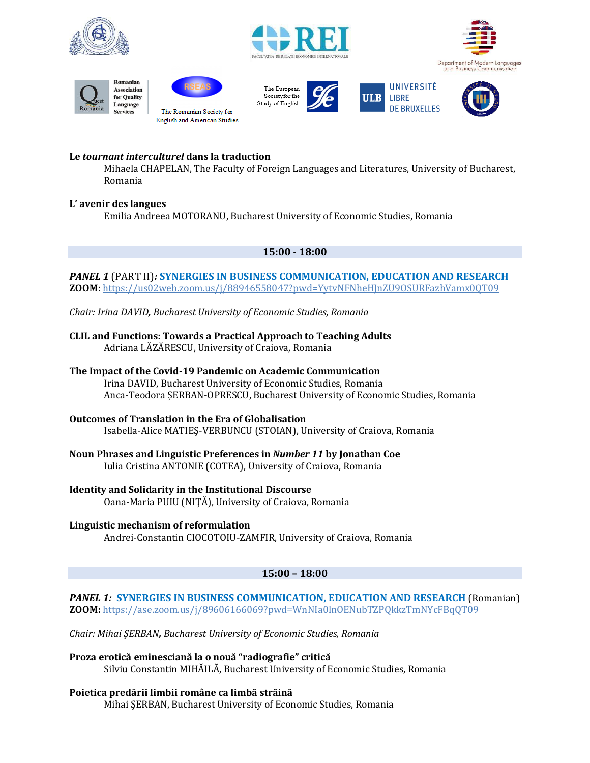



















### **Le** *tournant interculturel* **dans la traduction**

Mihaela CHAPELAN, The Faculty of Foreign Languages and Literatures, University of Bucharest, Romania

#### **L' avenir des langues**

Emilia Andreea MOTORANU, Bucharest University of Economic Studies, Romania

#### **15:00 - 18:00**

#### *PANEL 1* (PART II)*:* **SYNERGIES IN BUSINESS COMMUNICATION, EDUCATION AND RESEARCH ZOOM:** <https://us02web.zoom.us/j/88946558047?pwd=YytvNFNheHJnZU9OSURFazhVamx0QT09>

*Chair: Irina DAVID, Bucharest University of Economic Studies, Romania*

#### **CLIL and Functions: Towards a Practical Approach to Teaching Adults** Adriana LĂZĂRESCU, University of Craiova, Romania

**The Impact of the Covid-19 Pandemic on Academic Communication** Irina DAVID, Bucharest University of Economic Studies, Romania

Anca-Teodora ȘERBAN-OPRESCU, Bucharest University of Economic Studies, Romania

#### **Outcomes of Translation in the Era of Globalisation**

Isabella-Alice MATIEȘ-VERBUNCU (STOIAN), University of Craiova, Romania

#### **Noun Phrases and Linguistic Preferences in** *Number 11* **by Jonathan Coe**

Iulia Cristina ANTONIE (COTEA), University of Craiova, Romania

### **Identity and Solidarity in the Institutional Discourse**

Oana-Maria PUIU (NIŢĂ), University of Craiova, Romania

#### **Linguistic mechanism of reformulation**

Andrei-Constantin CIOCOTOIU-ZAMFIR, University of Craiova, Romania

### **15:00 – 18:00**

*PANEL 1:* **SYNERGIES IN BUSINESS COMMUNICATION, EDUCATION AND RESEARCH** (Romanian) **ZOOM:** <https://ase.zoom.us/j/89606166069?pwd=WnNIa0lnOENubTZPQkkzTmNYcFBqQT09>

*Chair: Mihai ȘERBAN, Bucharest University of Economic Studies, Romania*

**Proza erotică eminesciană la o nouă "radiografie" critică** Silviu Constantin MIHĂILĂ, Bucharest University of Economic Studies, Romania

**Poietica predării limbii române ca limbă străină** Mihai ȘERBAN, Bucharest University of Economic Studies, Romania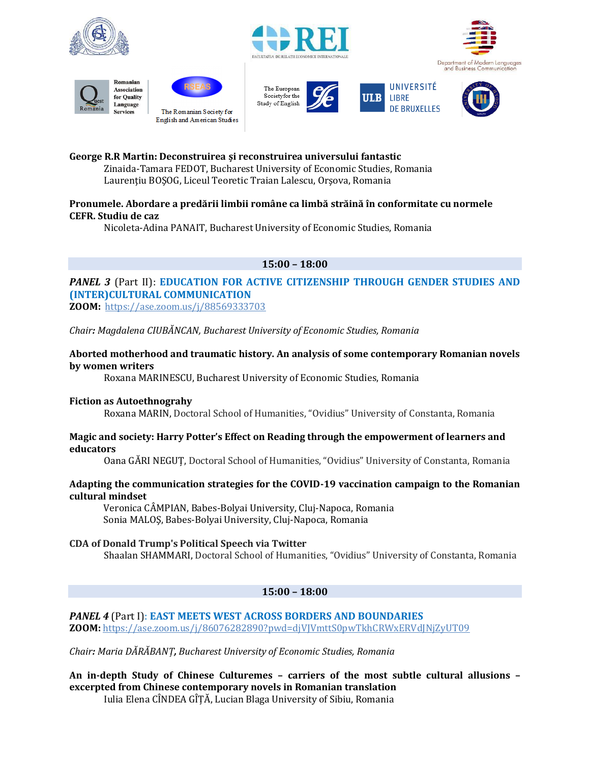

















#### **George R.R Martin: Deconstruirea și reconstruirea universului fantastic**

Zinaida-Tamara FEDOT, Bucharest University of Economic Studies, Romania Laurentiu BOSOG, Liceul Teoretic Traian Lalescu, Orsova, Romania

### **Pronumele. Abordare a predării limbii române ca limbă străină în conformitate cu normele CEFR. Studiu de caz**

Nicoleta-Adina PANAIT, Bucharest University of Economic Studies, Romania

#### **15:00 – 18:00**

# **PANEL 3 (Part II): EDUCATION FOR ACTIVE CITIZENSHIP THROUGH GENDER STUDIES AND (INTER)CULTURAL COMMUNICATION**

**ZOOM:** <https://ase.zoom.us/j/88569333703>

*Chair: Magdalena CIUBĂNCAN, Bucharest University of Economic Studies, Romania*

#### **Aborted motherhood and traumatic history. An analysis of some contemporary Romanian novels by women writers**

Roxana MARINESCU, Bucharest University of Economic Studies, Romania

#### **Fiction as Autoethnograhy**

Roxana MARIN, Doctoral School of Humanities, "Ovidius" University of Constanta, Romania

#### **Magic and society: Harry Potter's Effect on Reading through the empowerment of learners and educators**

Oana GĂRI NEGUȚ, Doctoral School of Humanities, "Ovidius" University of Constanta, Romania

#### **Adapting the communication strategies for the COVID-19 vaccination campaign to the Romanian cultural mindset**

Veronica CÂMPIAN, Babes-Bolyai University, Cluj-Napoca, Romania Sonia MALOŞ, Babes-Bolyai University, Cluj-Napoca, Romania

### **CDA of Donald Trump's Political Speech via Twitter**

Shaalan SHAMMARI, Doctoral School of Humanities, "Ovidius" University of Constanta, Romania

#### **15:00 – 18:00**

### *PANEL 4* (Part I): **EAST MEETS WEST ACROSS BORDERS AND BOUNDARIES ZOOM:** <https://ase.zoom.us/j/86076282890?pwd=djVJVmttS0pwTkhCRWxERVdJNjZyUT09>

*Chair: Maria DĂRĂBANȚ, Bucharest University of Economic Studies, Romania*

**An in-depth Study of Chinese Culturemes – carriers of the most subtle cultural allusions – excerpted from Chinese contemporary novels in Romanian translation** Iulia Elena CÎNDEA GÎȚĂ, Lucian Blaga University of Sibiu, Romania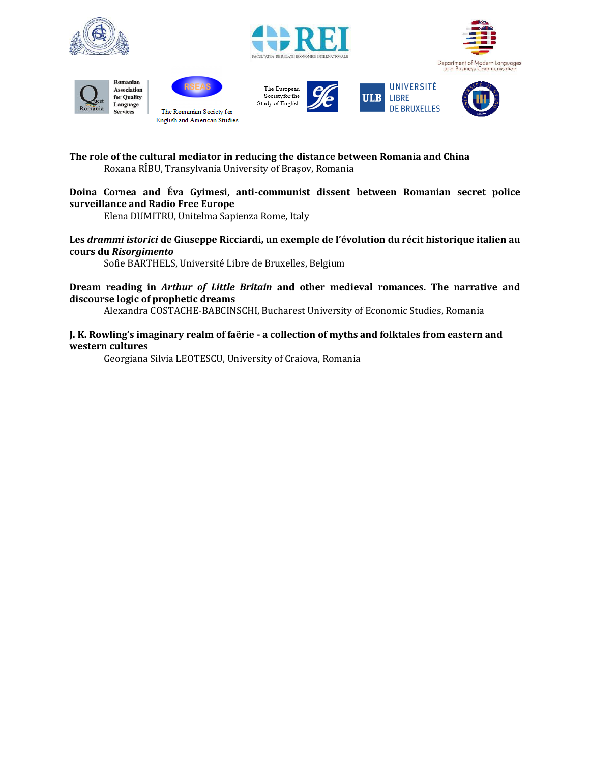



















### **Doina Cornea and Éva Gyimesi, anti-communist dissent between Romanian secret police surveillance and Radio Free Europe**

Elena DUMITRU, Unitelma Sapienza Rome, Italy

#### **Les** *drammi istorici* **de Giuseppe Ricciardi, un exemple de l'évolution du récit historique italien au cours du** *Risorgimento*

Sofie BARTHELS, Université Libre de Bruxelles, Belgium

#### **Dream reading in** *Arthur of Little Britain* **and other medieval romances. The narrative and discourse logic of prophetic dreams**

Alexandra COSTACHE-BABCINSCHI, Bucharest University of Economic Studies, Romania

#### **J. K. Rowling's imaginary realm of faërie - a collection of myths and folktales from eastern and western cultures**

Georgiana Silvia LEOTESCU, University of Craiova, Romania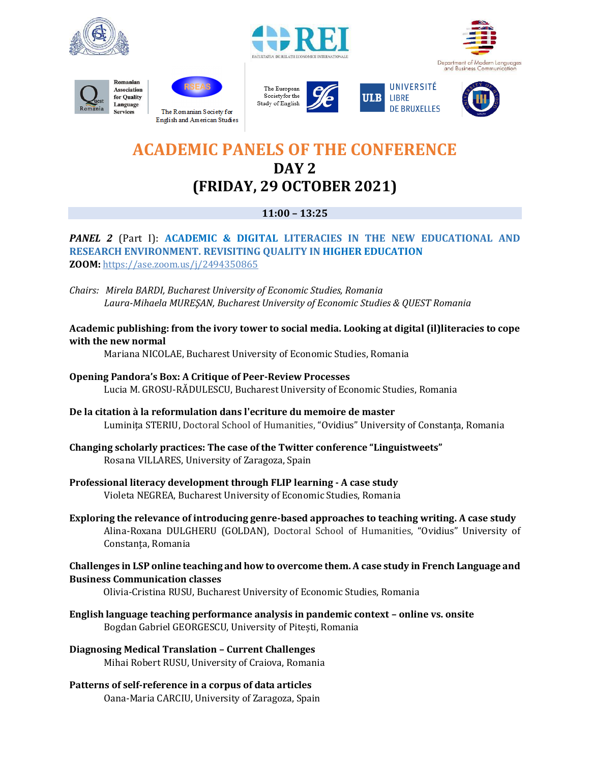

















# **ACADEMIC PANELS OF THE CONFERENCE DAY 2 (FRIDAY, 29 OCTOBER 2021)**

### **11:00 – 13:25**

### **PANEL 2** (Part I): **ACADEMIC & DIGITAL LITERACIES IN THE NEW EDUCATIONAL AND RESEARCH ENVIRONMENT. REVISITING QUALITY IN HIGHER EDUCATION ZOOM:** <https://ase.zoom.us/j/2494350865>

- *Chairs: Mirela BARDI, Bucharest University of Economic Studies, Romania Laura-Mihaela MUREŞAN, Bucharest University of Economic Studies & QUEST Romania*
- **Academic publishing: from the ivory tower to social media. Looking at digital (il)literacies to cope with the new normal**

Mariana NICOLAE, Bucharest University of Economic Studies, Romania

- **Opening Pandora's Box: A Critique of Peer-Review Processes** Lucia M. GROSU-RĂDULESCU, Bucharest University of Economic Studies, Romania
- **De la citation à la reformulation dans l'ecriture du memoire de master** Luminița STERIU, Doctoral School of Humanities, "Ovidius" University of Constanța, Romania
- **Changing scholarly practices: The case of the Twitter conference "Linguistweets"** Rosana VILLARES, University of Zaragoza, Spain
- **Professional literacy development through FLIP learning - A case study** Violeta NEGREA, Bucharest University of Economic Studies, Romania
- **Exploring the relevance of introducing genre-based approaches to teaching writing. A case study** Alina-Roxana DULGHERU (GOLDAN), Doctoral School of Humanities, "Ovidius" University of Constanța, Romania

#### **Challenges in LSP online teaching and how to overcome them. A case study in French Language and Business Communication classes**

Olivia-Cristina RUSU, Bucharest University of Economic Studies, Romania

**English language teaching performance analysis in pandemic context – online vs. onsite** Bogdan Gabriel GEORGESCU, University of Pitești, Romania

**Diagnosing Medical Translation – Current Challenges** Mihai Robert RUSU, University of Craiova, Romania

**Patterns of self-reference in a corpus of data articles** Oana-Maria CARCIU, University of Zaragoza, Spain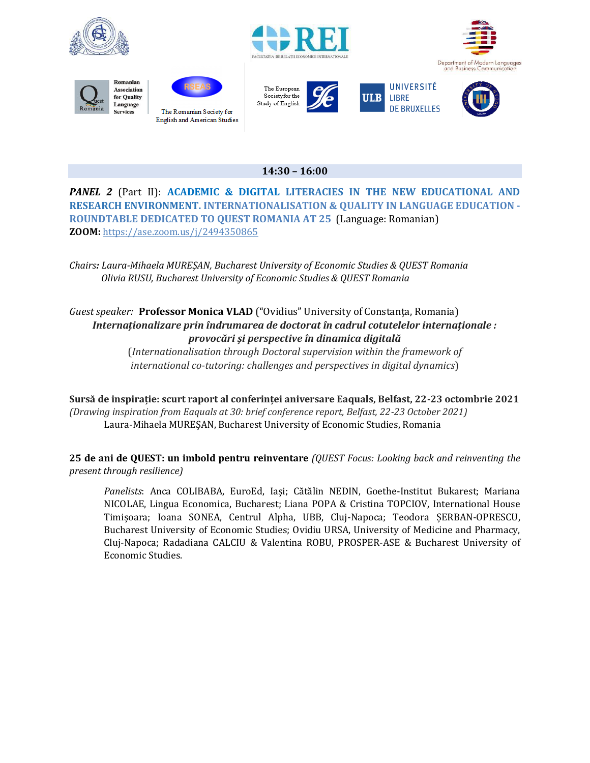

















### **14:30 – 16:00**

*PANEL 2* (Part II): **ACADEMIC & DIGITAL LITERACIES IN THE NEW EDUCATIONAL AND RESEARCH ENVIRONMENT. INTERNATIONALISATION & QUALITY IN LANGUAGE EDUCATION - ROUNDTABLE DEDICATED TO QUEST ROMANIA AT 25** (Language: Romanian) **ZOOM:** <https://ase.zoom.us/j/2494350865>

*Chairs: Laura-Mihaela MUREŞAN, Bucharest University of Economic Studies & QUEST Romania Olivia RUSU, Bucharest University of Economic Studies & QUEST Romania*

### *Guest speaker:* **Professor Monica VLAD** ("Ovidius" University of Constanța, Romania) *Internaționalizare prin îndrumarea de doctorat în cadrul cotutelelor internaționale : provocări și perspective în dinamica digitală*

(*Internationalisation through Doctoral supervision within the framework of international co-tutoring: challenges and perspectives in digital dynamics*)

**Sursă de inspirație: scurt raport al conferinței aniversare Eaquals, Belfast, 22-23 octombrie 2021**  *(Drawing inspiration from Eaquals at 30: brief conference report, Belfast, 22-23 October 2021)* Laura-Mihaela MUREȘAN, Bucharest University of Economic Studies, Romania

**25 de ani de QUEST: un imbold pentru reinventare** *(QUEST Focus: Looking back and reinventing the present through resilience)*

*Panelists*: Anca COLIBABA, EuroEd, Iași; Cătălin NEDIN, Goethe-Institut Bukarest; Mariana NICOLAE, Lingua Economica, Bucharest; Liana POPA & Cristina TOPCIOV, International House Timișoara; Ioana SONEA, Centrul Alpha, UBB, Cluj-Napoca; Teodora ȘERBAN-OPRESCU, Bucharest University of Economic Studies; Ovidiu URSA, University of Medicine and Pharmacy, Cluj-Napoca; Radadiana CALCIU & Valentina ROBU, PROSPER-ASE & Bucharest University of Economic Studies.